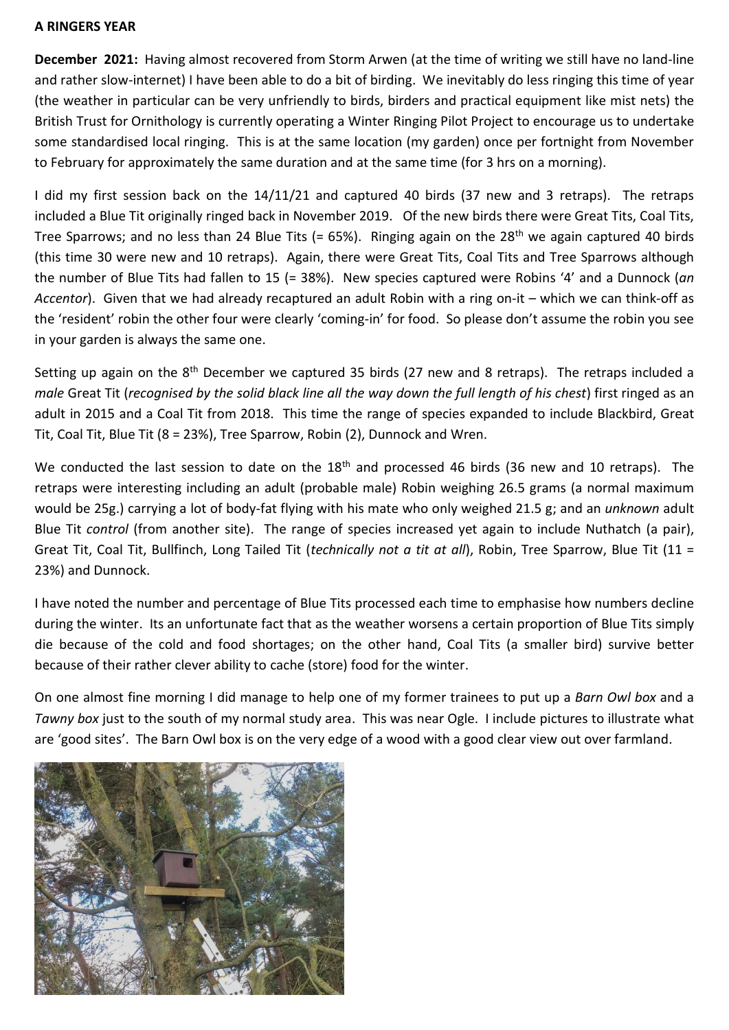## **A RINGERS YEAR**

**December 2021:** Having almost recovered from Storm Arwen (at the time of writing we still have no land-line and rather slow-internet) I have been able to do a bit of birding. We inevitably do less ringing this time of year (the weather in particular can be very unfriendly to birds, birders and practical equipment like mist nets) the British Trust for Ornithology is currently operating a Winter Ringing Pilot Project to encourage us to undertake some standardised local ringing. This is at the same location (my garden) once per fortnight from November to February for approximately the same duration and at the same time (for 3 hrs on a morning).

I did my first session back on the 14/11/21 and captured 40 birds (37 new and 3 retraps). The retraps included a Blue Tit originally ringed back in November 2019. Of the new birds there were Great Tits, Coal Tits, Tree Sparrows; and no less than 24 Blue Tits (=  $65\%$ ). Ringing again on the 28<sup>th</sup> we again captured 40 birds (this time 30 were new and 10 retraps). Again, there were Great Tits, Coal Tits and Tree Sparrows although the number of Blue Tits had fallen to 15 (= 38%). New species captured were Robins '4' and a Dunnock (*an Accentor*). Given that we had already recaptured an adult Robin with a ring on-it – which we can think-off as the 'resident' robin the other four were clearly 'coming-in' for food. So please don't assume the robin you see in your garden is always the same one.

Setting up again on the 8<sup>th</sup> December we captured 35 birds (27 new and 8 retraps). The retraps included a *male* Great Tit (*recognised by the solid black line all the way down the full length of his chest*) first ringed as an adult in 2015 and a Coal Tit from 2018. This time the range of species expanded to include Blackbird, Great Tit, Coal Tit, Blue Tit (8 = 23%), Tree Sparrow, Robin (2), Dunnock and Wren.

We conducted the last session to date on the 18<sup>th</sup> and processed 46 birds (36 new and 10 retraps). The retraps were interesting including an adult (probable male) Robin weighing 26.5 grams (a normal maximum would be 25g.) carrying a lot of body-fat flying with his mate who only weighed 21.5 g; and an *unknown* adult Blue Tit *control* (from another site). The range of species increased yet again to include Nuthatch (a pair), Great Tit, Coal Tit, Bullfinch, Long Tailed Tit (*technically not a tit at all*), Robin, Tree Sparrow, Blue Tit (11 = 23%) and Dunnock.

I have noted the number and percentage of Blue Tits processed each time to emphasise how numbers decline during the winter. Its an unfortunate fact that as the weather worsens a certain proportion of Blue Tits simply die because of the cold and food shortages; on the other hand, Coal Tits (a smaller bird) survive better because of their rather clever ability to cache (store) food for the winter.

On one almost fine morning I did manage to help one of my former trainees to put up a *Barn Owl box* and a *Tawny box* just to the south of my normal study area. This was near Ogle. I include pictures to illustrate what are 'good sites'. The Barn Owl box is on the very edge of a wood with a good clear view out over farmland.